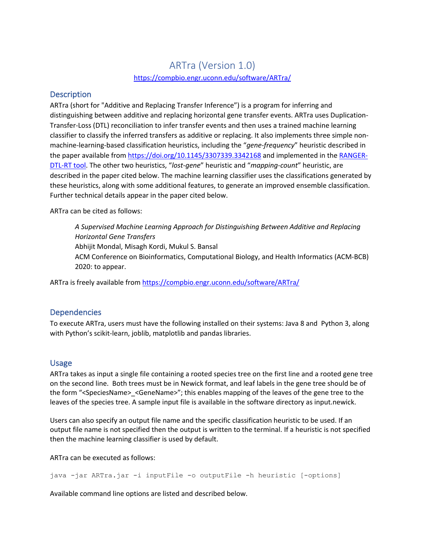# ARTra (Version 1.0) https://compbio.engr.uconn.edu/software/ARTra/

## **Description**

ARTra (short for "Additive and Replacing Transfer Inference") is a program for inferring and distinguishing between additive and replacing horizontal gene transfer events. ARTra uses Duplication-Transfer-Loss (DTL) reconciliation to infer transfer events and then uses a trained machine learning classifier to classify the inferred transfers as additive or replacing. It also implements three simple nonmachine-learning-based classification heuristics, including the "*gene-frequency*" heuristic described in the paper available from https://doi.org/10.1145/3307339.3342168 and implemented in the RANGER-DTL-RT tool. The other two heuristics, "*lost-gene*" heuristic and "*mapping-count*" heuristic, are described in the paper cited below. The machine learning classifier uses the classifications generated by these heuristics, along with some additional features, to generate an improved ensemble classification. Further technical details appear in the paper cited below.

ARTra can be cited as follows:

*A Supervised Machine Learning Approach for Distinguishing Between Additive and Replacing Horizontal Gene Transfers* Abhijit Mondal, Misagh Kordi, Mukul S. Bansal ACM Conference on Bioinformatics, Computational Biology, and Health Informatics (ACM-BCB) 2020: to appear.

ARTra is freely available from https://compbio.engr.uconn.edu/software/ARTra/

# Dependencies

To execute ARTra, users must have the following installed on their systems: Java 8 and Python 3, along with Python's scikit-learn, joblib, matplotlib and pandas libraries.

# Usage

ARTra takes as input a single file containing a rooted species tree on the first line and a rooted gene tree on the second line. Both trees must be in Newick format, and leaf labels in the gene tree should be of the form "<SpeciesName>\_<GeneName>"; this enables mapping of the leaves of the gene tree to the leaves of the species tree. A sample input file is available in the software directory as input.newick.

Users can also specify an output file name and the specific classification heuristic to be used. If an output file name is not specified then the output is written to the terminal. If a heuristic is not specified then the machine learning classifier is used by default.

ARTra can be executed as follows:

java -jar ARTra.jar -i inputFile -o outputFile -h heuristic [-options]

Available command line options are listed and described below.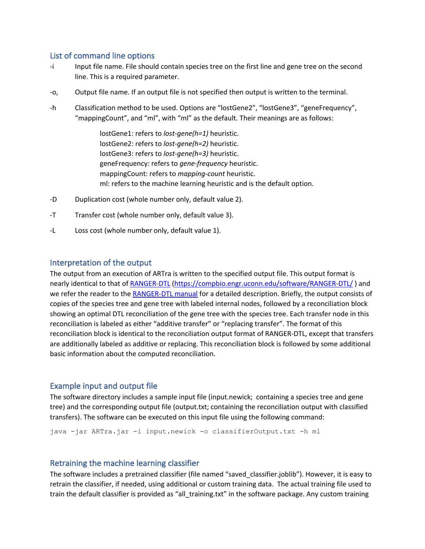## List of command line options

- -i Input file name. File should contain species tree on the first line and gene tree on the second line. This is a required parameter.
- -o, Output file name. If an output file is not specified then output is written to the terminal.
- -h Classification method to be used. Options are "lostGene2", "lostGene3", "geneFrequency", "mappingCount", and "ml", with "ml" as the default. Their meanings are as follows:

lostGene1: refers to *lost-gene(h=1)* heuristic. lostGene2: refers to *lost-gene(h=2)* heuristic. lostGene3: refers to *lost-gene(h=3)* heuristic. geneFrequency: refers to *gene-frequency* heuristic. mappingCount: refers to *mapping-count* heuristic. ml: refers to the machine learning heuristic and is the default option.

- -D Duplication cost (whole number only, default value 2).
- -T Transfer cost (whole number only, default value 3).
- -L Loss cost (whole number only, default value 1).

### Interpretation of the output

The output from an execution of ARTra is written to the specified output file. This output format is nearly identical to that of RANGER-DTL (https://compbio.engr.uconn.edu/software/RANGER-DTL/ ) and we refer the reader to the RANGER-DTL manual for a detailed description. Briefly, the output consists of copies of the species tree and gene tree with labeled internal nodes, followed by a reconciliation block showing an optimal DTL reconciliation of the gene tree with the species tree. Each transfer node in this reconciliation is labeled as either "additive transfer" or "replacing transfer". The format of this reconciliation block is identical to the reconciliation output format of RANGER-DTL, except that transfers are additionally labeled as additive or replacing. This reconciliation block is followed by some additional basic information about the computed reconciliation.

#### Example input and output file

The software directory includes a sample input file (input.newick; containing a species tree and gene tree) and the corresponding output file (output.txt; containing the reconciliation output with classified transfers). The software can be executed on this input file using the following command:

java -jar ARTra.jar -i input.newick -o classifierOutput.txt -h ml

### Retraining the machine learning classifier

The software includes a pretrained classifier (file named "saved\_classifier.joblib"). However, it is easy to retrain the classifier, if needed, using additional or custom training data. The actual training file used to train the default classifier is provided as "all\_training.txt" in the software package. Any custom training